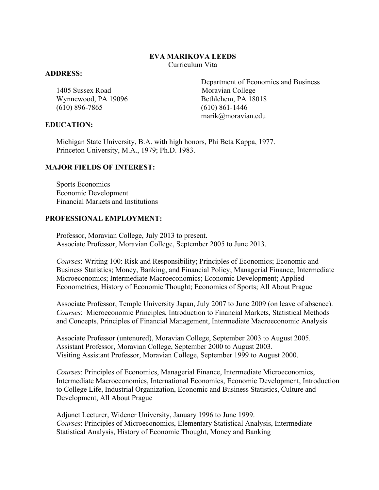#### **EVA MARIKOVA LEEDS** Curriculum Vita

#### **ADDRESS:**

1405 Sussex Road Moravian College Wynnewood, PA 19096 Bethlehem, PA 18018 (610) 896-7865 (610) 861-1446

#### **EDUCATION:**

 Department of Economics and Business marik@moravian.edu

Michigan State University, B.A. with high honors, Phi Beta Kappa, 1977. Princeton University, M.A., 1979; Ph.D. 1983.

### **MAJOR FIELDS OF INTEREST:**

Sports Economics Economic Development Financial Markets and Institutions

### **PROFESSIONAL EMPLOYMENT:**

Professor, Moravian College, July 2013 to present. Associate Professor, Moravian College, September 2005 to June 2013.

*Courses*: Writing 100: Risk and Responsibility; Principles of Economics; Economic and Business Statistics; Money, Banking, and Financial Policy; Managerial Finance; Intermediate Microeconomics; Intermediate Macroeconomics; Economic Development; Applied Econometrics; History of Economic Thought; Economics of Sports; All About Prague

Associate Professor, Temple University Japan, July 2007 to June 2009 (on leave of absence). *Courses*: Microeconomic Principles, Introduction to Financial Markets, Statistical Methods and Concepts, Principles of Financial Management, Intermediate Macroeconomic Analysis

Associate Professor (untenured), Moravian College, September 2003 to August 2005. Assistant Professor, Moravian College, September 2000 to August 2003. Visiting Assistant Professor, Moravian College, September 1999 to August 2000.

*Courses*: Principles of Economics, Managerial Finance, Intermediate Microeconomics, Intermediate Macroeconomics, International Economics, Economic Development, Introduction to College Life, Industrial Organization, Economic and Business Statistics, Culture and Development, All About Prague

Adjunct Lecturer, Widener University, January 1996 to June 1999. *Courses*: Principles of Microeconomics, Elementary Statistical Analysis, Intermediate Statistical Analysis, History of Economic Thought, Money and Banking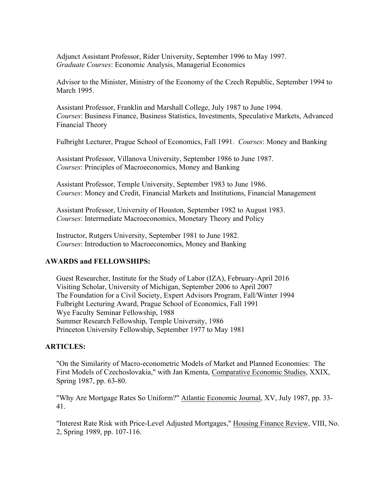Adjunct Assistant Professor, Rider University, September 1996 to May 1997. *Graduate Courses*: Economic Analysis, Managerial Economics

Advisor to the Minister, Ministry of the Economy of the Czech Republic, September 1994 to March 1995.

Assistant Professor, Franklin and Marshall College, July 1987 to June 1994. *Courses*: Business Finance, Business Statistics, Investments, Speculative Markets, Advanced Financial Theory

Fulbright Lecturer, Prague School of Economics, Fall 1991. *Courses*: Money and Banking

Assistant Professor, Villanova University, September 1986 to June 1987. *Courses*: Principles of Macroeconomics, Money and Banking

Assistant Professor, Temple University, September 1983 to June 1986. *Courses*: Money and Credit, Financial Markets and Institutions, Financial Management

Assistant Professor, University of Houston, September 1982 to August 1983. *Courses*: Intermediate Macroeconomics, Monetary Theory and Policy

Instructor, Rutgers University, September 1981 to June 1982. *Courses*: Introduction to Macroeconomics, Money and Banking

## **AWARDS and FELLOWSHIPS:**

Guest Researcher, Institute for the Study of Labor (IZA), February-April 2016 Visiting Scholar, University of Michigan, September 2006 to April 2007 The Foundation for a Civil Society, Expert Advisors Program, Fall/Winter 1994 Fulbright Lecturing Award, Prague School of Economics, Fall 1991 Wye Faculty Seminar Fellowship, 1988 Summer Research Fellowship, Temple University, 1986 Princeton University Fellowship, September 1977 to May 1981

## **ARTICLES:**

"On the Similarity of Macro-econometric Models of Market and Planned Economies: The First Models of Czechoslovakia," with Jan Kmenta, Comparative Economic Studies, XXIX, Spring 1987, pp. 63-80.

"Why Are Mortgage Rates So Uniform?" Atlantic Economic Journal, XV, July 1987, pp. 33- 41.

"Interest Rate Risk with Price-Level Adjusted Mortgages," Housing Finance Review, VIII, No. 2, Spring 1989, pp. 107-116.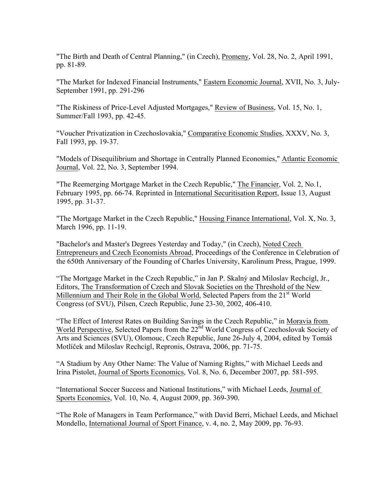"The Birth and Death of Central Planning," (in Czech), Promeny, Vol. 28, No. 2, April 1991, pp. 81-89.

"The Market for Indexed Financial Instruments," Eastern Economic Journal, XVII, No. 3, July-September 1991, pp. 291-296

 "The Riskiness of Price-Level Adjusted Mortgages," Review of Business, Vol. 15, No. 1, Summer/Fall 1993, pp. 42-45.

"Voucher Privatization in Czechoslovakia," Comparative Economic Studies, XXXV, No. 3, Fall 1993, pp. 19-37.

"Models of Disequilibrium and Shortage in Centrally Planned Economies," Atlantic Economic Journal, Vol. 22, No. 3, September 1994.

"The Reemerging Mortgage Market in the Czech Republic," The Financier, Vol. 2, No.1, February 1995, pp. 66-74. Reprinted in International Securitisation Report, Issue 13, August 1995, pp. 31-37.

"The Mortgage Market in the Czech Republic," Housing Finance International, Vol. X, No. 3, March 1996, pp. 11-19.

"Bachelor's and Master's Degrees Yesterday and Today," (in Czech), Noted Czech Entrepreneurs and Czech Economists Abroad, Proceedings of the Conference in Celebration of the 650th Anniversary of the Founding of Charles University, Karolinum Press, Prague, 1999.

 "The Mortgage Market in the Czech Republic," in Jan P. Skalný and Miloslav Rechcígl, Jr., Editors, The Transformation of Czech and Slovak Societies on the Threshold of the New Millennium and Their Role in the Global World, Selected Papers from the  $21<sup>st</sup>$  World Congress (of SVU), Pilsen, Czech Republic, June 23-30, 2002, 406-410.

"The Effect of Interest Rates on Building Savings in the Czech Republic," in Moravia from World Perspective, Selected Papers from the 22<sup>nd</sup> World Congress of Czechoslovak Society of Arts and Sciences (SVU), Olomouc, Czech Republic, June 26-July 4, 2004, edited by Tomáš Motlíček and Miloslav Rechcígl, Repronis, Ostrava, 2006, pp. 71-75.

"A Stadium by Any Other Name: The Value of Naming Rights," with Michael Leeds and Irina Pistolet, Journal of Sports Economics, Vol. 8, No. 6, December 2007, pp. 581-595.

"International Soccer Success and National Institutions," with Michael Leeds, Journal of Sports Economics, Vol. 10, No. 4, August 2009, pp. 369-390.

"The Role of Managers in Team Performance," with David Berri, Michael Leeds, and Michael Mondello, International Journal of Sport Finance, v. 4, no. 2, May 2009, pp. 76-93.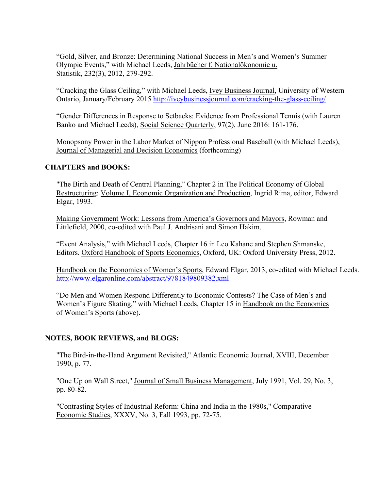"Gold, Silver, and Bronze: Determining National Success in Men's and Women's Summer Olympic Events," with Michael Leeds, Jahrbücher f. Nationalökonomie u. Statistik, 232(3), 2012, 279-292.

"Cracking the Glass Ceiling," with Michael Leeds, Ivey Business Journal, University of Western Ontario, January/February 2015 http://iveybusinessjournal.com/cracking-the-glass-ceiling/

"Gender Differences in Response to Setbacks: Evidence from Professional Tennis (with Lauren Banko and Michael Leeds), Social Science Quarterly, 97(2), June 2016: 161-176.

Monopsony Power in the Labor Market of Nippon Professional Baseball (with Michael Leeds), Journal of Managerial and Decision Economics (forthcoming)

## **CHAPTERS and BOOKS:**

"The Birth and Death of Central Planning," Chapter 2 in The Political Economy of Global Restructuring: Volume I, Economic Organization and Production, Ingrid Rima, editor, Edward Elgar, 1993.

Making Government Work: Lessons from America's Governors and Mayors, Rowman and Littlefield, 2000, co-edited with Paul J. Andrisani and Simon Hakim.

"Event Analysis," with Michael Leeds, Chapter 16 in Leo Kahane and Stephen Shmanske, Editors. Oxford Handbook of Sports Economics, Oxford, UK: Oxford University Press, 2012.

Handbook on the Economics of Women's Sports, Edward Elgar, 2013, co-edited with Michael Leeds. http://www.elgaronline.com/abstract/9781849809382.xml

"Do Men and Women Respond Differently to Economic Contests? The Case of Men's and Women's Figure Skating," with Michael Leeds, Chapter 15 in Handbook on the Economics of Women's Sports (above).

## **NOTES, BOOK REVIEWS, and BLOGS:**

"The Bird-in-the-Hand Argument Revisited," Atlantic Economic Journal, XVIII, December 1990, p. 77.

"One Up on Wall Street," Journal of Small Business Management, July 1991, Vol. 29, No. 3, pp. 80-82.

"Contrasting Styles of Industrial Reform: China and India in the 1980s," Comparative Economic Studies, XXXV, No. 3, Fall 1993, pp. 72-75.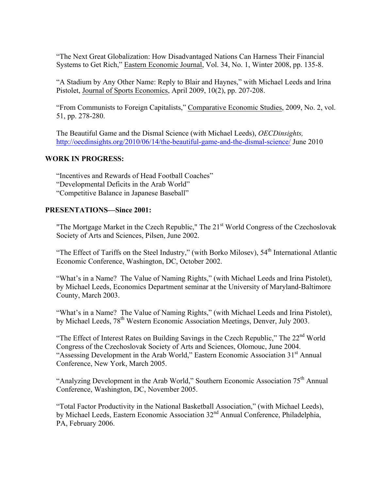"The Next Great Globalization: How Disadvantaged Nations Can Harness Their Financial Systems to Get Rich," Eastern Economic Journal, Vol. 34, No. 1, Winter 2008, pp. 135-8.

"A Stadium by Any Other Name: Reply to Blair and Haynes," with Michael Leeds and Irina Pistolet, Journal of Sports Economics, April 2009, 10(2), pp. 207-208.

"From Communists to Foreign Capitalists," Comparative Economic Studies, 2009, No. 2, vol. 51, pp. 278-280.

The Beautiful Game and the Dismal Science (with Michael Leeds), *OECDinsights,*  http://oecdinsights.org/2010/06/14/the-beautiful-game-and-the-dismal-science/ June 2010

# **WORK IN PROGRESS:**

"Incentives and Rewards of Head Football Coaches" "Developmental Deficits in the Arab World" "Competitive Balance in Japanese Baseball"

### **PRESENTATIONS—Since 2001:**

"The Mortgage Market in the Czech Republic," The 21<sup>st</sup> World Congress of the Czechoslovak Society of Arts and Sciences, Pilsen, June 2002.

"The Effect of Tariffs on the Steel Industry," (with Borko Milosev), 54<sup>th</sup> International Atlantic Economic Conference, Washington, DC, October 2002.

"What's in a Name? The Value of Naming Rights," (with Michael Leeds and Irina Pistolet), by Michael Leeds, Economics Department seminar at the University of Maryland-Baltimore County, March 2003.

"What's in a Name? The Value of Naming Rights," (with Michael Leeds and Irina Pistolet), by Michael Leeds, 78<sup>th</sup> Western Economic Association Meetings, Denver, July 2003.

"The Effect of Interest Rates on Building Savings in the Czech Republic," The 22<sup>nd</sup> World Congress of the Czechoslovak Society of Arts and Sciences, Olomouc, June 2004. "Assessing Development in the Arab World," Eastern Economic Association 31<sup>st</sup> Annual Conference, New York, March 2005.

"Analyzing Development in the Arab World," Southern Economic Association 75th Annual Conference, Washington, DC, November 2005.

"Total Factor Productivity in the National Basketball Association," (with Michael Leeds), by Michael Leeds, Eastern Economic Association 32<sup>nd</sup> Annual Conference, Philadelphia, PA, February 2006.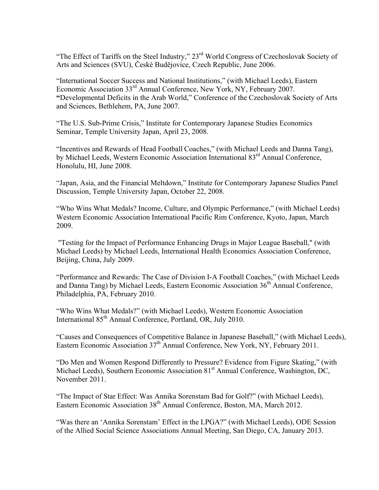"The Effect of Tariffs on the Steel Industry," 23rd World Congress of Czechoslovak Society of Arts and Sciences (SVU), České Budĕjovice, Czech Republic, June 2006.

"International Soccer Success and National Institutions," (with Michael Leeds), Eastern Economic Association 33rd Annual Conference, New York, NY, February 2007. **"**Developmental Deficits in the Arab World," Conference of the Czechoslovak Society of Arts and Sciences, Bethlehem, PA, June 2007.

"The U.S. Sub-Prime Crisis," Institute for Contemporary Japanese Studies Economics Seminar, Temple University Japan, April 23, 2008.

"Incentives and Rewards of Head Football Coaches," (with Michael Leeds and Danna Tang), by Michael Leeds, Western Economic Association International 83<sup>rd</sup> Annual Conference, Honolulu, HI, June 2008.

"Japan, Asia, and the Financial Meltdown," Institute for Contemporary Japanese Studies Panel Discussion, Temple University Japan, October 22, 2008.

"Who Wins What Medals? Income, Culture, and Olympic Performance," (with Michael Leeds) Western Economic Association International Pacific Rim Conference, Kyoto, Japan, March 2009.

"Testing for the Impact of Performance Enhancing Drugs in Major League Baseball," (with Michael Leeds) by Michael Leeds, International Health Economics Association Conference, Beijing, China, July 2009.

"Performance and Rewards: The Case of Division I-A Football Coaches," (with Michael Leeds and Danna Tang) by Michael Leeds, Eastern Economic Association  $36<sup>th</sup>$  Annual Conference, Philadelphia, PA, February 2010.

"Who Wins What Medals?" (with Michael Leeds), Western Economic Association International 85<sup>th</sup> Annual Conference, Portland, OR, July 2010.

"Causes and Consequences of Competitive Balance in Japanese Baseball," (with Michael Leeds), Eastern Economic Association  $37<sup>th</sup>$  Annual Conference, New York, NY, February 2011.

"Do Men and Women Respond Differently to Pressure? Evidence from Figure Skating," (with Michael Leeds), Southern Economic Association 81<sup>st</sup> Annual Conference, Washington, DC, November 2011.

"The Impact of Star Effect: Was Annika Sorenstam Bad for Golf?" (with Michael Leeds), Eastern Economic Association 38<sup>th</sup> Annual Conference, Boston, MA, March 2012.

"Was there an 'Annika Sorenstam' Effect in the LPGA?" (with Michael Leeds), ODE Session of the Allied Social Science Associations Annual Meeting, San Diego, CA, January 2013.